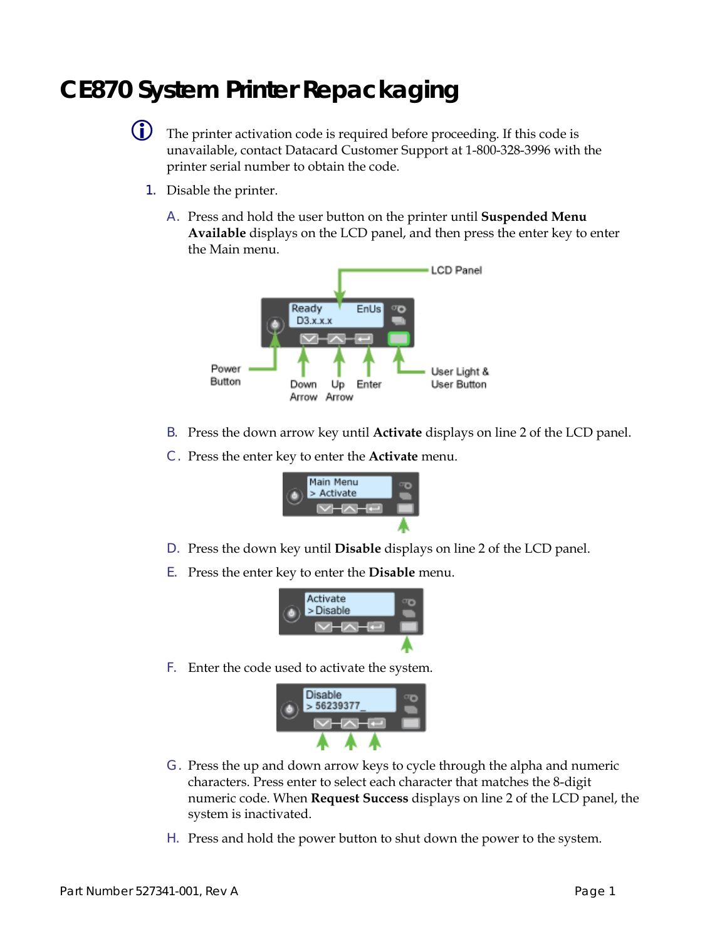## **CE870 System Printer Repackaging**



 The printer activation code is required before proceeding. If this code is unavailable, contact Datacard Customer Support at 1-800-328-3996 with the printer serial number to obtain the code.

- 1. Disable the printer.
	- A. Press and hold the user button on the printer until **Suspended Menu Available** displays on the LCD panel, and then press the enter key to enter the Main menu.



- B. Press the down arrow key until **Activate** displays on line 2 of the LCD panel.
- C. Press the enter key to enter the **Activate** menu.



- D. Press the down key until **Disable** displays on line 2 of the LCD panel.
- E. Press the enter key to enter the **Disable** menu.



F. Enter the code used to activate the system.



- G. Press the up and down arrow keys to cycle through the alpha and numeric characters. Press enter to select each character that matches the 8-digit numeric code. When **Request Success** displays on line 2 of the LCD panel, the system is inactivated.
- H. Press and hold the power button to shut down the power to the system.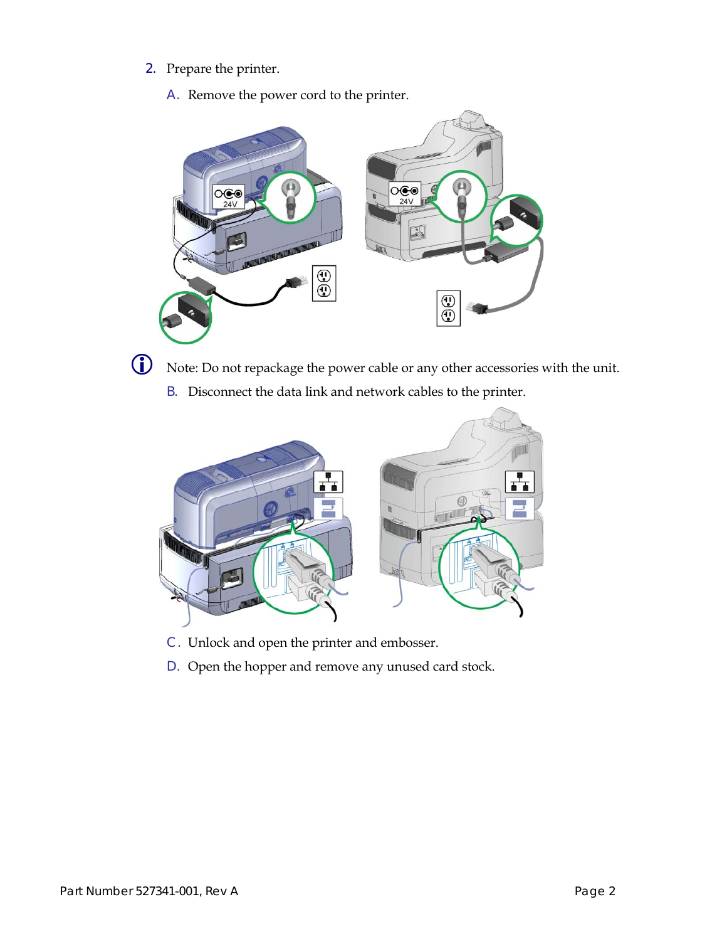- 2. Prepare the printer.
	- A. Remove the power cord to the printer.



Note: Do not repackage the power cable or any other accessories with the unit.

B. Disconnect the data link and network cables to the printer.



- C. Unlock and open the printer and embosser.
- D. Open the hopper and remove any unused card stock.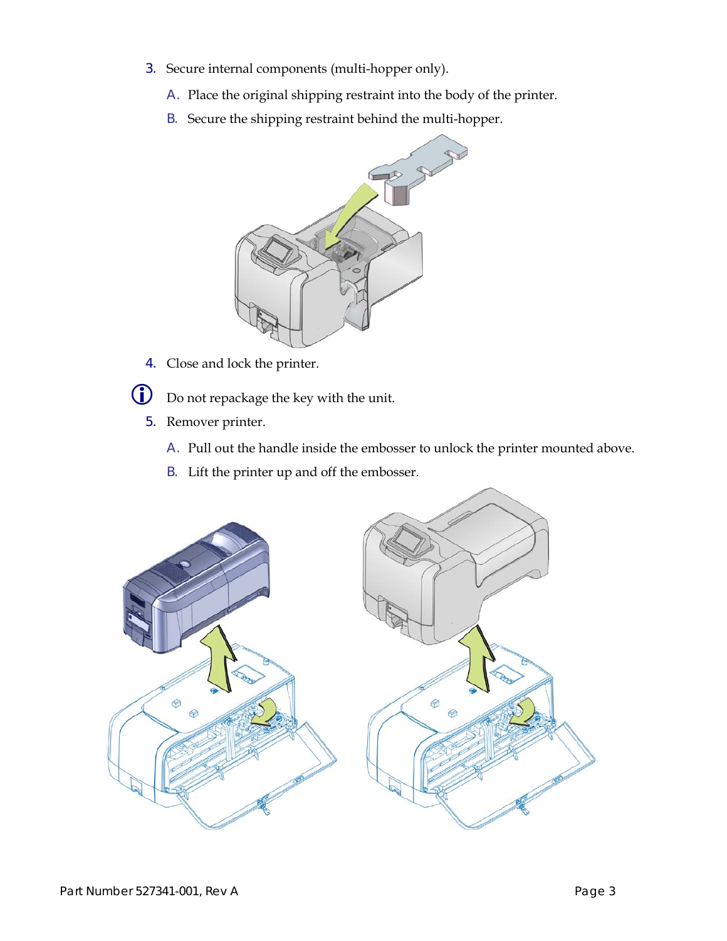- 3. Secure internal components (multi-hopper only).
	- A. Place the original shipping restraint into the body of the printer.
	- B. Secure the shipping restraint behind the multi-hopper.



- 4. Close and lock the printer.
- Do not repackage the key with the unit.
	- 5. Remover printer.
		- A. Pull out the handle inside the embosser to unlock the printer mounted above.
		- B. Lift the printer up and off the embosser.

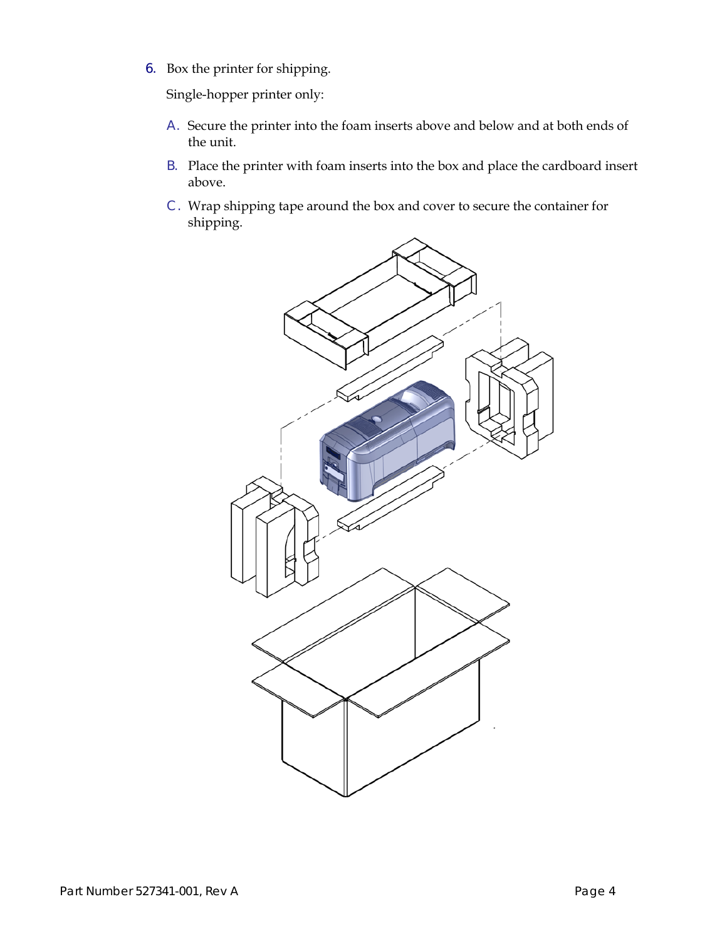6. Box the printer for shipping.

Single-hopper printer only:

- A. Secure the printer into the foam inserts above and below and at both ends of the unit.
- B. Place the printer with foam inserts into the box and place the cardboard insert above.
- C. Wrap shipping tape around the box and cover to secure the container for shipping.

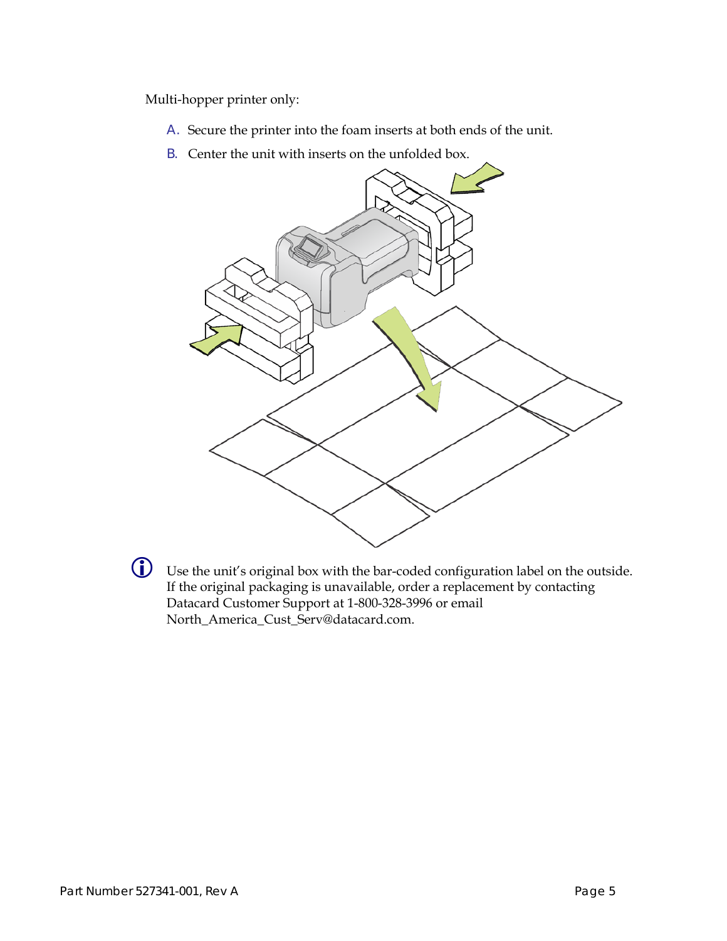Multi-hopper printer only:

- A. Secure the printer into the foam inserts at both ends of the unit.
- B. Center the unit with inserts on the unfolded box.



 Use the unit's original box with the bar-coded configuration label on the outside. If the original packaging is unavailable, order a replacement by contacting Datacard Customer Support at 1-800-328-3996 or email North\_America\_Cust\_Serv@datacard.com.